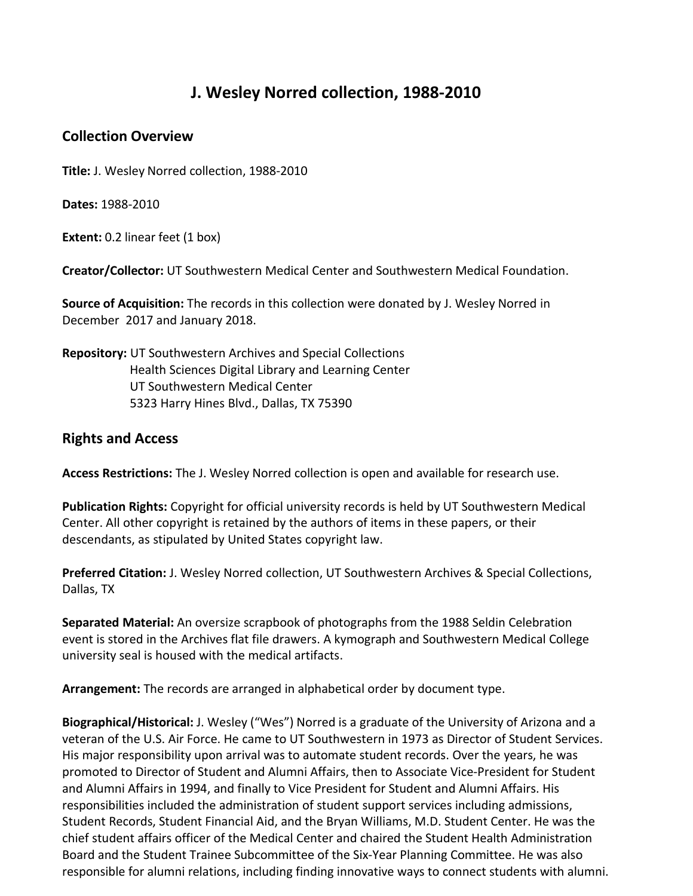## **J. Wesley Norred collection, 1988-2010**

## **Collection Overview**

**Title:** J. Wesley Norred collection, 1988-2010

**Dates:** 1988-2010

**Extent:** 0.2 linear feet (1 box)

**Creator/Collector:** UT Southwestern Medical Center and Southwestern Medical Foundation.

**Source of Acquisition:** The records in this collection were donated by J. Wesley Norred in December 2017 and January 2018.

**Repository:** UT Southwestern Archives and Special Collections Health Sciences Digital Library and Learning Center UT Southwestern Medical Center 5323 Harry Hines Blvd., Dallas, TX 75390

## **Rights and Access**

**Access Restrictions:** The J. Wesley Norred collection is open and available for research use.

**Publication Rights:** Copyright for official university records is held by UT Southwestern Medical Center. All other copyright is retained by the authors of items in these papers, or their descendants, as stipulated by United States copyright law.

**Preferred Citation:** J. Wesley Norred collection, UT Southwestern Archives & Special Collections, Dallas, TX

**Separated Material:** An oversize scrapbook of photographs from the 1988 Seldin Celebration event is stored in the Archives flat file drawers. A kymograph and Southwestern Medical College university seal is housed with the medical artifacts.

**Arrangement:** The records are arranged in alphabetical order by document type.

**Biographical/Historical:** J. Wesley ("Wes") Norred is a graduate of the University of Arizona and a veteran of the U.S. Air Force. He came to UT Southwestern in 1973 as Director of Student Services. His major responsibility upon arrival was to automate student records. Over the years, he was promoted to Director of Student and Alumni Affairs, then to Associate Vice-President for Student and Alumni Affairs in 1994, and finally to Vice President for Student and Alumni Affairs. His responsibilities included the administration of student support services including admissions, Student Records, Student Financial Aid, and the Bryan Williams, M.D. Student Center. He was the chief student affairs officer of the Medical Center and chaired the Student Health Administration Board and the Student Trainee Subcommittee of the Six-Year Planning Committee. He was also responsible for alumni relations, including finding innovative ways to connect students with alumni.